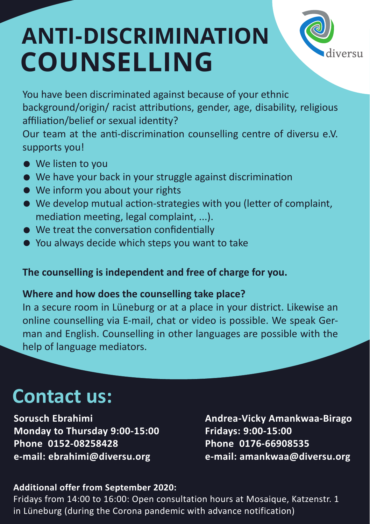# **ANTI-DISCRIMINATION COUNSELLING**



You have been discriminated against because of your ethnic background/origin/ racist attributions, gender, age, disability, religious affiliation/belief or sexual identity?

Our team at the anti-discrimination counselling centre of diversu e.V. supports you!

- We listen to you
- We have your back in your struggle against discrimination
- We inform you about your rights
- We develop mutual action-strategies with you (letter of complaint, mediation meeting, legal complaint, ...).
- We treat the conversation confidentially
- You always decide which steps you want to take

### **The counselling is independent and free of charge for you.**

### **Where and how does the counselling take place?**

In a secure room in Lüneburg or at a place in your district. Likewise an online counselling via E-mail, chat or video is possible. We speak German and English. Counselling in other languages are possible with the help of language mediators.

## **Contact us:**

**Sorusch Ebrahimi Monday to Thursday 9:00-15:00 Phone 0152-08258428 e-mail: ebrahimi@diversu.org**

**Andrea-Vicky Amankwaa-Birago Fridays: 9:00-15:00 Phone 0176-66908535 e-mail: amankwaa@diversu.org**

#### **Additional offer from September 2020:**

Fridays from 14:00 to 16:00: Open consultation hours at Mosaique, Katzenstr. 1 in Lüneburg (during the Corona pandemic with advance notification)